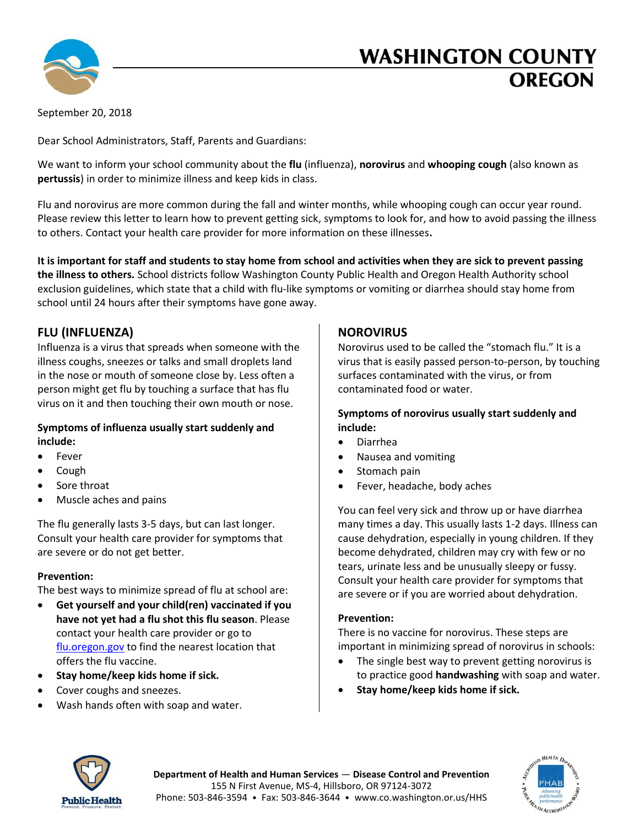

# **WASHINGTON COUNTY** OREGON

September 20, 2018

Dear School Administrators, Staff, Parents and Guardians:

We want to inform your school community about the **flu** (influenza), **norovirus** and **whooping cough** (also known as **pertussis**) in order to minimize illness and keep kids in class.

Flu and norovirus are more common during the fall and winter months, while whooping cough can occur year round. Please review this letter to learn how to prevent getting sick, symptoms to look for, and how to avoid passing the illness to others. Contact your health care provider for more information on these illnesses**.**

**It is important for staff and students to stay home from school and activities when they are sick to prevent passing the illness to others.** School districts follow Washington County Public Health and Oregon Health Authority school exclusion guidelines, which state that a child with flu-like symptoms or vomiting or diarrhea should stay home from school until 24 hours after their symptoms have gone away.

## **FLU (INFLUENZA)**

Influenza is a virus that spreads when someone with the illness coughs, sneezes or talks and small droplets land in the nose or mouth of someone close by. Less often a person might get flu by touching a surface that has flu virus on it and then touching their own mouth or nose.

### **Symptoms of influenza usually start suddenly and include:**

- Fever
- Cough
- Sore throat
- Muscle aches and pains

The flu generally lasts 3-5 days, but can last longer. Consult your health care provider for symptoms that are severe or do not get better.

#### **Prevention:**

The best ways to minimize spread of flu at school are:

- **Get yourself and your child(ren) vaccinated if you have not yet had a flu shot this flu season**. Please contact your health care provider or go to flu.oregon.gov to find the nearest location that offers the flu vaccine.
- **Stay home/keep kids home if sick.**
- Cover coughs and sneezes.
- Wash hands often with soap and water.

## **NOROVIRUS**

Norovirus used to be called the "stomach flu." It is a virus that is easily passed person-to-person, by touching surfaces contaminated with the virus, or from contaminated food or water.

#### **Symptoms of norovirus usually start suddenly and include:**

- Diarrhea
- Nausea and vomiting
- Stomach pain
- Fever, headache, body aches

You can feel very sick and throw up or have diarrhea many times a day. This usually lasts 1-2 days. Illness can cause dehydration, especially in young children. If they become dehydrated, children may cry with few or no tears, urinate less and be unusually sleepy or fussy. Consult your health care provider for symptoms that are severe or if you are worried about dehydration.

#### **Prevention:**

There is no vaccine for norovirus. These steps are important in minimizing spread of norovirus in schools:

- The single best way to prevent getting norovirus is to practice good **handwashing** with soap and water.
- **Stay home/keep kids home if sick.**



**Department of Health and Human Services** ― **Disease Control and Prevention** 155 N First Avenue, MS-4, Hillsboro, OR 97124-3072 Phone: 503-846-3594 • Fax: 503-846-3644 • www.co.washington.or.us/HHS